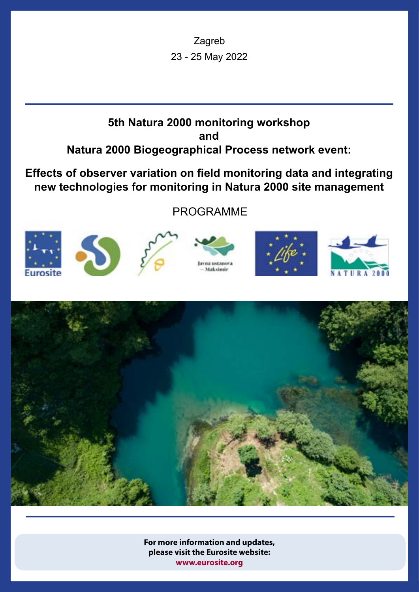Zagreb 23 - 25 May 2022

# **5th Natura 2000 monitoring workshop and Natura 2000 Biogeographical Process network event:**

**Effects of observer variation on field monitoring data and integrating new technologies for monitoring in Natura 2000 site management**

PROGRAMME















**For more information and updates, please visit the Eurosite website: [www.eurosite.org](https://www.eurosite.org/events/5th-natura-2000-monitoring-workshop-part-2/)**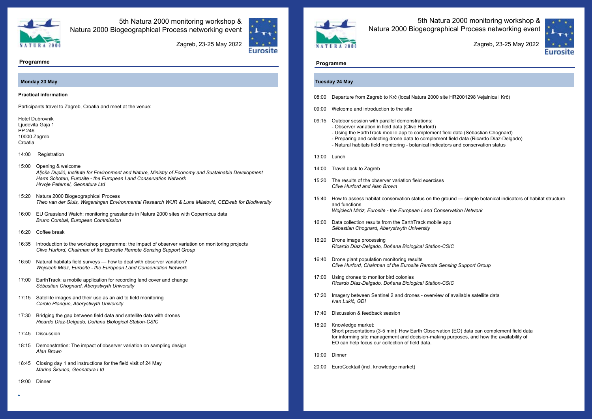

5th Natura 2000 monitoring workshop & Natura 2000 Biogeographical Process networking event



## **Programme Programme**

5th Natura 2000 monitoring workshop & Natura 2000 Biogeographical Process networking event



### **Tuesday 24 May**

- Using the EarthTrack mobile app to complement field data (Sébastian Chognard) - Preparing and collecting drone data to complement field data (Ricardo Díaz-Delgado)

- 08:00 Departure from Zagreb to Krč (local Natura 2000 site HR2001298 Vejalnica i Krč)
- 09:00 Welcome and introduction to the site
- 09:15 Outdoor session with parallel demonstrations:
	- Observer variation in field data (Clive Hurford)
	-
	- Natural habitats field monitoring botanical indicators and conservation status
- 13:00 Lunch
- 14:00 Travel back to Zagreb
- 15:20 The results of the observer variation field exercises *Clive Hurford and Alan Brown*
- 15:40 How to assess habitat conservation status on the ground simple botanical indicators of habitat structure and functions *Wojciech Mróz, Eurosite - the European Land Conservation Network*
- 16:00 Data collection results from the EarthTrack mobile app *Sébastian Chognard, Aberystwyth University*
- 16:20 Drone image processing *Ricardo Díaz-Delgado, Doñana Biological Station-CSIC*
- 16:40 Drone plant population monitoring results *Clive Hurford, Chairman of the Eurosite Remote Sensing Support Group*
- 17:00 Using drones to monitor bird colonies *Ricardo Díaz-Delgado, Doñana Biological Station-CSIC*
- 17:20 Imagery between Sentinel 2 and drones overview of available satellite data *Ivan Lukić, GDI*
- 17:40 Discussion & feedback session
- 18:20 Knowledge market: Short presentations (3-5 min): How Earth Observation (EO) data can complement field data for informing site management and decision-making purposes, and how the availability of EO can help focus our collection of field data.
- 19:00 Dinner
- 20:00 EuroCocktail (incl. knowledge market)

#### **Practical information**

Participants travel to Zagreb, Croatia and meet at the venue:

Hotel Dubrovnik Ljudevita Gaja 1 PP 246 10000 Zagreb Croatia

- 14:00 Registration
- 15:00 Opening & welcome *Aljoša Duplić, Institute for Environment and Nature, Ministry of Economy and Sustainable Development Harm Schoten, Eurosite - the European Land Conservation Network Hrvoje Peternel, Geonatura Ltd*
- 15:20 Natura 2000 Biogeographical Process *Theo van der Sluis, Wageningen Environmental Research WUR & Luna Milatović, CEEweb for Biodiversity*
- 16:00 EU Grassland Watch: monitoring grasslands in Natura 2000 sites with Copernicus data *Bruno Combal, European Commission*
- 16:20 Coffee break
- 16:35 Introduction to the workshop programme: the impact of observer variation on monitoring projects *Clive Hurford, Chairman of the Eurosite Remote Sensing Support Group*
- 16:50 Natural habitats field surveys how to deal with observer variation? *Wojciech Mróz, Eurosite - the European Land Conservation Network*
- 17:00 EarthTrack: a mobile application for recording land cover and change *Sébastian Chognard, Aberystwyth University*
- 17:15 Satellite images and their use as an aid to field monitoring *Carole Planque, Aberystwyth University*
- 17:30 Bridging the gap between field data and satellite data with drones *Ricardo Díaz-Delgado, Doñana Biological Station-CSIC*
- 17:45 Discussion
- 18:15 Demonstration: The impact of observer variation on sampling design *Alan Brown*
- 18:45 Closing day 1 and instructions for the field visit of 24 May *Marina Škunca, Geonatura Ltd*
- [1](https://www.barcelona-tourist-guide.com/en/airport/transport/barcelona-airport-train.html)9:00 Dinne[r](https://www.barcelona-tourist-guide.com/en/airport/transport/barcelona-airport-train.html)

#### **Monday 23 May**